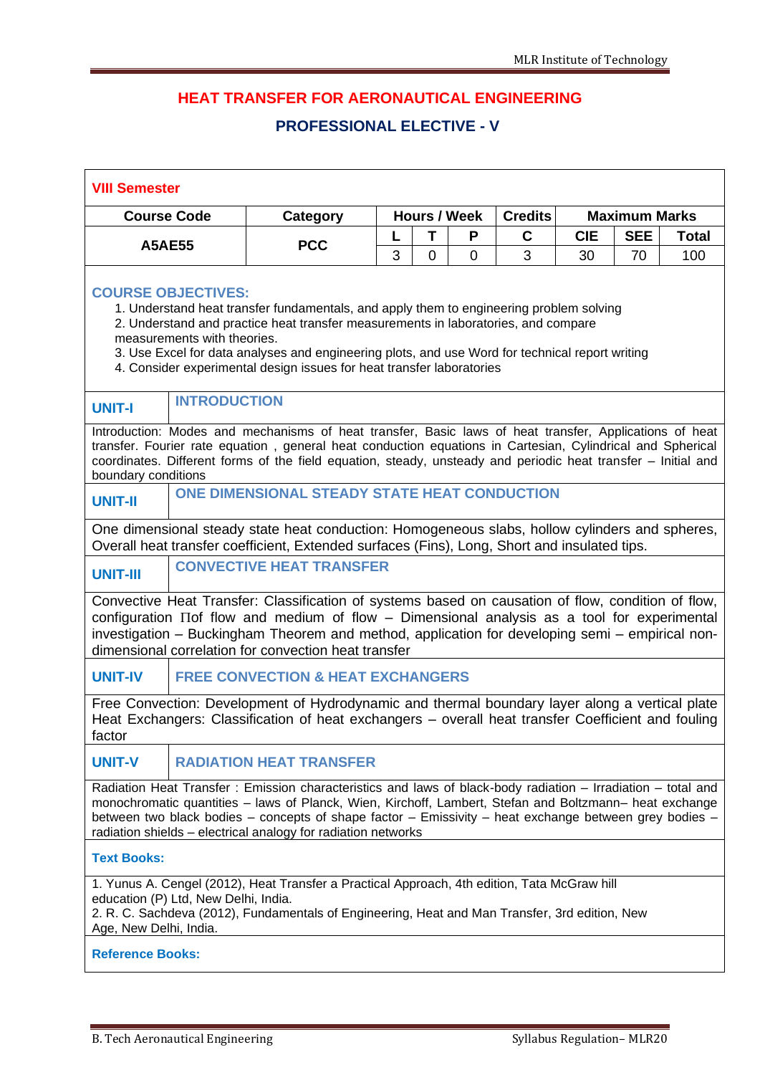## **HEAT TRANSFER FOR AERONAUTICAL ENGINEERING**

## **PROFESSIONAL ELECTIVE - V**

| <b>Course Code</b>  |                                                                                                                                        | Category                                                                                                                                                                                                                                                                                                                                                                                           |   |                | <b>Hours / Week</b> | <b>Credits</b> | <b>Maximum Marks</b> |            |              |
|---------------------|----------------------------------------------------------------------------------------------------------------------------------------|----------------------------------------------------------------------------------------------------------------------------------------------------------------------------------------------------------------------------------------------------------------------------------------------------------------------------------------------------------------------------------------------------|---|----------------|---------------------|----------------|----------------------|------------|--------------|
| <b>A5AE55</b>       |                                                                                                                                        | <b>PCC</b>                                                                                                                                                                                                                                                                                                                                                                                         | L | T              | P                   | $\mathbf C$    | <b>CIE</b>           | <b>SEE</b> | <b>Total</b> |
|                     |                                                                                                                                        |                                                                                                                                                                                                                                                                                                                                                                                                    | 3 | $\overline{0}$ | 0                   | 3              | 30                   | 70         | 100          |
|                     | <b>COURSE OBJECTIVES:</b><br>measurements with theories.                                                                               | 1. Understand heat transfer fundamentals, and apply them to engineering problem solving<br>2. Understand and practice heat transfer measurements in laboratories, and compare<br>3. Use Excel for data analyses and engineering plots, and use Word for technical report writing<br>4. Consider experimental design issues for heat transfer laboratories                                          |   |                |                     |                |                      |            |              |
| <b>UNIT-I</b>       | <b>INTRODUCTION</b>                                                                                                                    |                                                                                                                                                                                                                                                                                                                                                                                                    |   |                |                     |                |                      |            |              |
| boundary conditions |                                                                                                                                        | Introduction: Modes and mechanisms of heat transfer, Basic laws of heat transfer, Applications of heat<br>transfer. Fourier rate equation, general heat conduction equations in Cartesian, Cylindrical and Spherical<br>coordinates. Different forms of the field equation, steady, unsteady and periodic heat transfer - Initial and                                                              |   |                |                     |                |                      |            |              |
| <b>UNIT-II</b>      |                                                                                                                                        | ONE DIMENSIONAL STEADY STATE HEAT CONDUCTION                                                                                                                                                                                                                                                                                                                                                       |   |                |                     |                |                      |            |              |
|                     |                                                                                                                                        | One dimensional steady state heat conduction: Homogeneous slabs, hollow cylinders and spheres,<br>Overall heat transfer coefficient, Extended surfaces (Fins), Long, Short and insulated tips.                                                                                                                                                                                                     |   |                |                     |                |                      |            |              |
| <b>UNIT-III</b>     |                                                                                                                                        | <b>CONVECTIVE HEAT TRANSFER</b>                                                                                                                                                                                                                                                                                                                                                                    |   |                |                     |                |                      |            |              |
|                     |                                                                                                                                        | Convective Heat Transfer: Classification of systems based on causation of flow, condition of flow,<br>configuration ITof flow and medium of flow - Dimensional analysis as a tool for experimental<br>investigation - Buckingham Theorem and method, application for developing semi - empirical non-<br>dimensional correlation for convection heat transfer                                      |   |                |                     |                |                      |            |              |
| <b>UNIT-IV</b>      |                                                                                                                                        | <b>FREE CONVECTION &amp; HEAT EXCHANGERS</b>                                                                                                                                                                                                                                                                                                                                                       |   |                |                     |                |                      |            |              |
| factor              |                                                                                                                                        | Free Convection: Development of Hydrodynamic and thermal boundary layer along a vertical plate<br>Heat Exchangers: Classification of heat exchangers - overall heat transfer Coefficient and fouling                                                                                                                                                                                               |   |                |                     |                |                      |            |              |
| <b>UNIT-V</b>       | <b>RADIATION HEAT TRANSFER</b>                                                                                                         |                                                                                                                                                                                                                                                                                                                                                                                                    |   |                |                     |                |                      |            |              |
|                     |                                                                                                                                        | Radiation Heat Transfer: Emission characteristics and laws of black-body radiation - Irradiation - total and<br>monochromatic quantities - laws of Planck, Wien, Kirchoff, Lambert, Stefan and Boltzmann- heat exchange<br>between two black bodies - concepts of shape factor - Emissivity - heat exchange between grey bodies -<br>radiation shields - electrical analogy for radiation networks |   |                |                     |                |                      |            |              |
| <b>Text Books:</b>  |                                                                                                                                        |                                                                                                                                                                                                                                                                                                                                                                                                    |   |                |                     |                |                      |            |              |
|                     | education (P) Ltd, New Delhi, India.<br>2. R. C. Sachdeva (2012), Fundamentals of Engineering, Heat and Man Transfer, 3rd edition, New | 1. Yunus A. Cengel (2012), Heat Transfer a Practical Approach, 4th edition, Tata McGraw hill                                                                                                                                                                                                                                                                                                       |   |                |                     |                |                      |            |              |